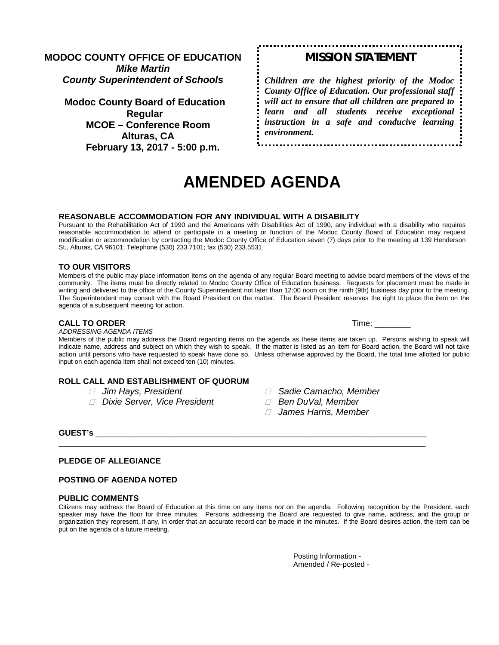**MODOC COUNTY OFFICE OF EDUCATION** *Mike Martin County Superintendent of Schools*

**Modoc County Board of Education Regular MCOE – Conference Room Alturas, CA February 13, 2017 - 5:00 p.m.**

# *MISSION STATEMENT*

*Children are the highest priority of the Modoc County Office of Education. Our professional staff will act to ensure that all children are prepared to learn and all students receive exceptional instruction in a safe and conducive learning environment.*

# **AMENDED AGENDA**

#### **REASONABLE ACCOMMODATION FOR ANY INDIVIDUAL WITH A DISABILITY**

Pursuant to the Rehabilitation Act of 1990 and the Americans with Disabilities Act of 1990, any individual with a disability who requires reasonable accommodation to attend or participate in a meeting or function of the Modoc County Board of Education may request modification or accommodation by contacting the Modoc County Office of Education seven (7) days prior to the meeting at 139 Henderson St., Alturas, CA 96101; Telephone (530) 233.7101; fax (530) 233.5531

#### **TO OUR VISITORS**

Members of the public may place information items on the agenda of any regular Board meeting to advise board members of the views of the community. The items must be directly related to Modoc County Office of Education business. Requests for placement must be made in writing and delivered to the office of the County Superintendent not later than 12:00 noon on the ninth (9th) business day prior to the meeting. The Superintendent may consult with the Board President on the matter. The Board President reserves the right to place the item on the agenda of a subsequent meeting for action.

#### **CALL TO ORDER TIME:**  $\blacksquare$

*ADDRESSING AGENDA ITEMS*

Members of the public may address the Board regarding items on the agenda as these items are taken up. Persons wishing to speak will indicate name, address and subject on which they wish to speak. If the matter is listed as an item for Board action, the Board will not take action until persons who have requested to speak have done so. Unless otherwise approved by the Board, the total time allotted for public input on each agenda item shall not exceed ten (10) minutes.

# **ROLL CALL AND ESTABLISHMENT OF QUORUM**

- 
- *Dixie Server, Vice President Ben DuVal, Member*
- *Jim Hays, President Sadie Camacho, Member*
	-
	- *James Harris, Member*

**GUEST's** \_\_\_\_\_\_\_\_\_\_\_\_\_\_\_\_\_\_\_\_\_\_\_\_\_\_\_\_\_\_\_\_\_\_\_\_\_\_\_\_\_\_\_\_\_\_\_\_\_\_\_\_\_\_\_\_\_\_\_\_\_\_\_\_\_\_\_\_\_\_\_\_\_

#### **PLEDGE OF ALLEGIANCE**

#### **POSTING OF AGENDA NOTED**

#### **PUBLIC COMMENTS**

Citizens may address the Board of Education at this time on any items *not* on the agenda. Following recognition by the President, each speaker may have the floor for three minutes. Persons addressing the Board are requested to give name, address, and the group or organization they represent, if any, in order that an accurate record can be made in the minutes. If the Board desires action, the item can be put on the agenda of a future meeting.

\_\_\_\_\_\_\_\_\_\_\_\_\_\_\_\_\_\_\_\_\_\_\_\_\_\_\_\_\_\_\_\_\_\_\_\_\_\_\_\_\_\_\_\_\_\_\_\_\_\_\_\_\_\_\_\_\_\_\_\_\_\_\_\_\_\_\_\_\_\_\_\_\_\_\_\_\_\_\_\_\_

Posting Information - Amended / Re-posted -